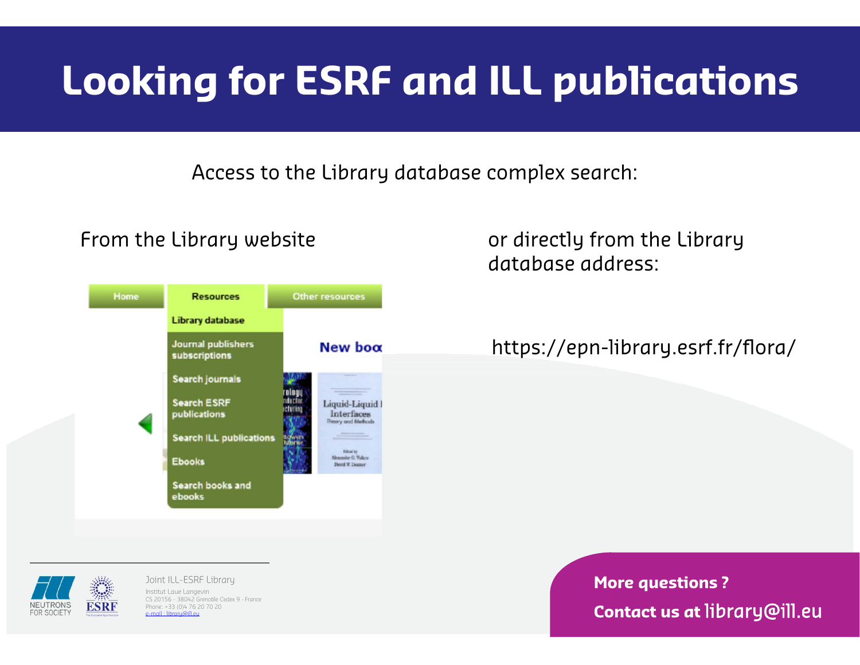Access to the Library database complex search:



From the Library website **Example 2** or directly from the Library database address:

https://epn-library.esrf.fr/flora/

**ESRF** 

Joint ILL-ESRF Library Institut Laue Langevin CS 20156 - 38042 Grenoble Cedex 9 - France Phone: +33 (0)4 76 20 70 20 e-mail : library@ill.eu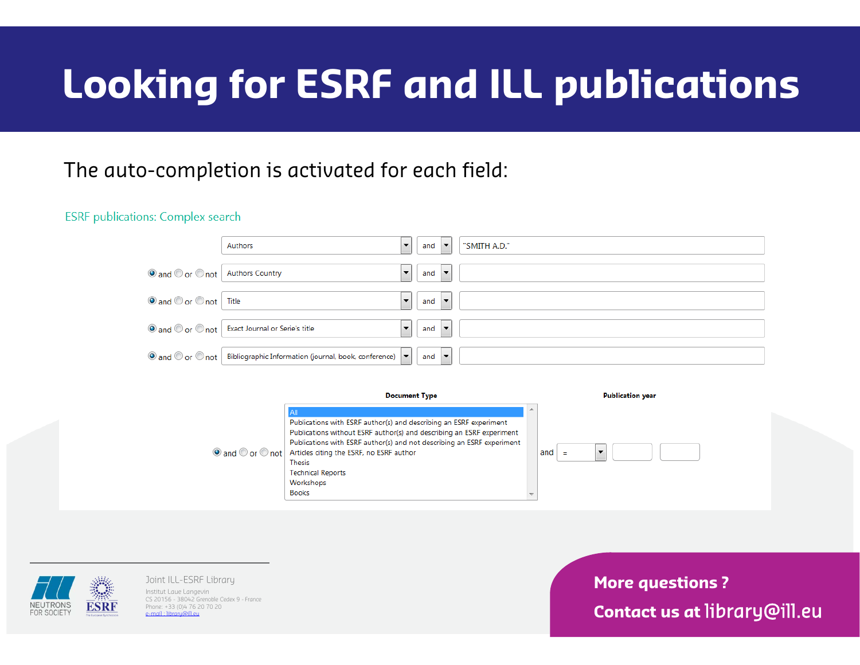### The auto-completion is activated for each field:

### **ESRF** publications: Complex search

|                                    | Authors                                                                                                                         | $\overline{\phantom{a}}$ | and $\vert \blacktriangledown \vert$ | "SMITH A.D." |
|------------------------------------|---------------------------------------------------------------------------------------------------------------------------------|--------------------------|--------------------------------------|--------------|
| O and O or O not   Authors Country |                                                                                                                                 | $\overline{\phantom{a}}$ | and $\vert \bullet \vert$            |              |
| O and O or O not Title             |                                                                                                                                 | $\overline{\phantom{a}}$ | and $\blacktriangledown$             |              |
|                                    | ◉ and ⓒ or ⓒ not Exact Journal or Serie's title                                                                                 | $\overline{\phantom{a}}$ | and $\vert \bullet \vert$            |              |
|                                    | $\bigcirc$ and $\bigcirc$ or $\bigcirc$ not $\big $ Bibliographic Information (journal, book, conference) $\big  \bullet \big $ |                          | and $\blacktriangledown$             |              |

### **Document Type Publication year** Publications with ESRF author(s) and describing an ESRF experiment Publications without ESRF author(s) and describing an ESRF experiment Publications with ESRF author(s) and not describing an ESRF experiment ◉ and ⓒ or ⓒ not | Articles citing the ESRF, no ESRF author  $\blacktriangledown$ and **Thesis Technical Reports** Workshops **Books**



Joint ILL-ESRF Library Institut Laue Langevin CS 20156 - 38042 Grenoble Cedex 9 - France Phone: +33 (0)4 76 20 70 20 e-mail : library@ill.eu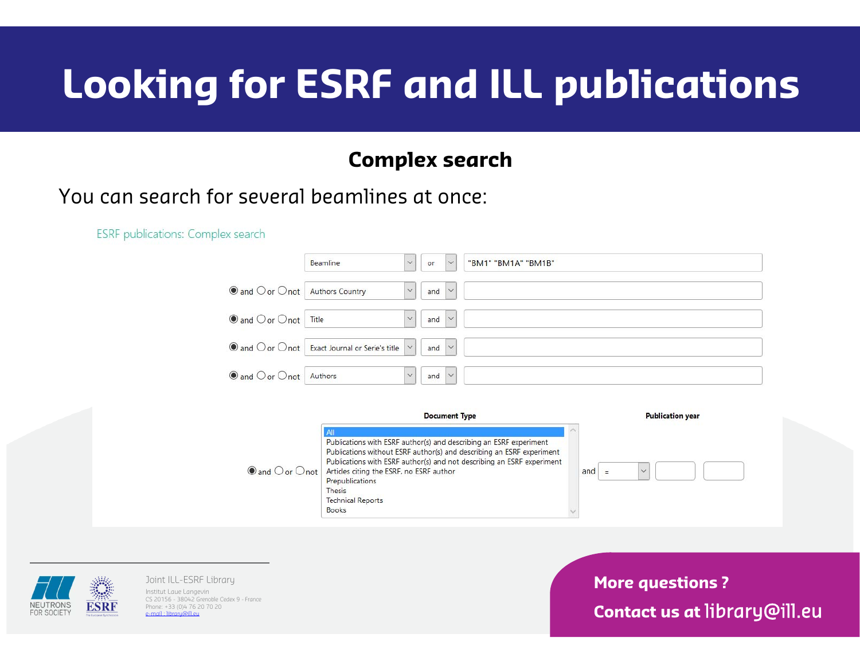### **Complex search**

### You can search for several beamlines at once:

**ESRF** publications: Complex search

|                                                        | $\checkmark$<br>Beamline                                                                              | <b>or</b>                    | $\check{ }$ | "BM1" "BM1A" "BM1B" |
|--------------------------------------------------------|-------------------------------------------------------------------------------------------------------|------------------------------|-------------|---------------------|
| $\bullet$ and $\circ$ or $\circ$ not   Authors Country | $\checkmark$                                                                                          | and $ $ $\sim$               |             |                     |
| $\bullet$ and $\circ$ or $\circ$ not $\vert$ Title     | $\checkmark$                                                                                          | and $\vee$                   |             |                     |
|                                                        | $\bigcirc$ and $\bigcirc$ or $\bigcirc$ not $\big $ Exact Journal or Serie's title $\big  \vee \big $ | and $\vert \vee \vert$       |             |                     |
| $\bullet$ and $\circ$ or $\circ$ not   Authors         |                                                                                                       | and $\vert \mathbf{v} \vert$ |             |                     |





Joint ILL-ESRF Library Institut Laue Langevin CS 20156 - 38042 Grenoble Cedex 9 - France Phone: +33 (0)4 76 20 70 20 e-mail : library@ill.eu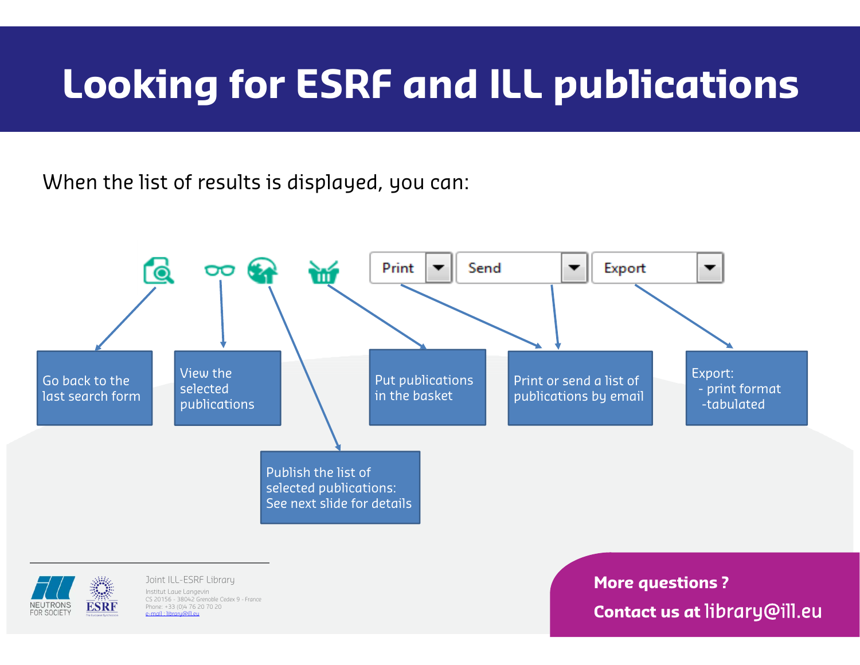When the list of results is displayed, you can:





Joint ILL-ESRF Library Institut Laue Langevin CS 20156 - 38042 Grenoble Cedex 9 - France Phone: +33 (0)4 76 20 70 20 e-mail : library@ill.eu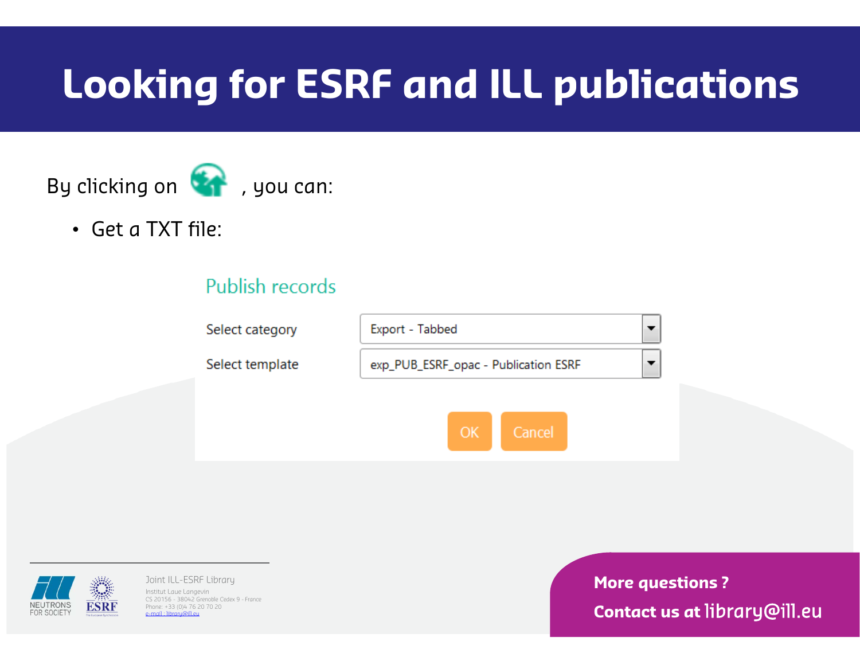## By clicking on  $\Box$ , you can:

• Get a TXT file:

### Publish records





Joint ILL-ESRF Library Institut Laue Langevin CS 20156 - 38042 Grenoble Cedex 9 - France Phone: +33 (0)4 76 20 70 20 e-mail : library@ill.eu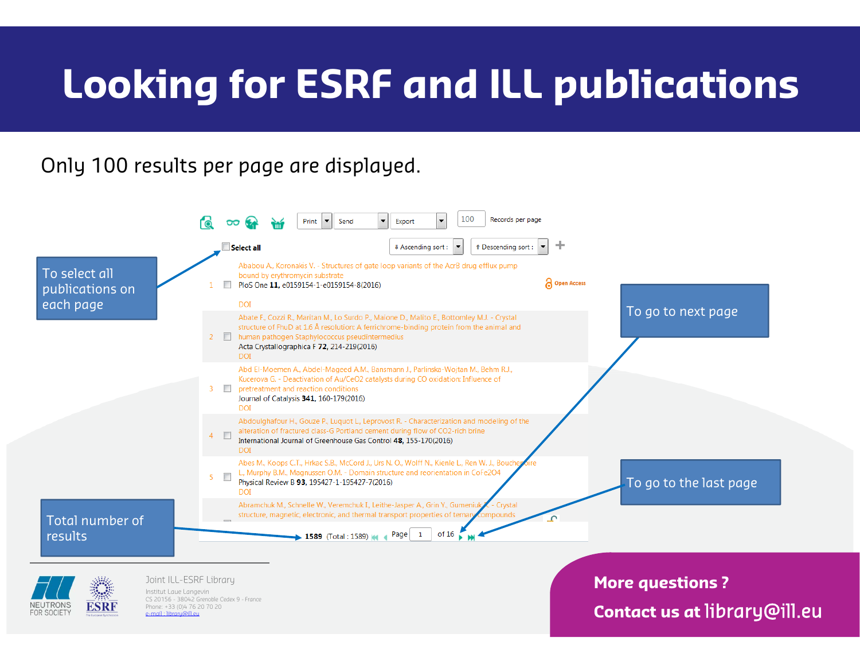## Only 100 results per page are displayed.





Joint ILL-ESRF Library Institut Laue Langevin CS 20156 - 38042 Grenoble Cedex 9 - France Phone: +33 (0)4 76 20 70 20  $email$  : library@ill.eu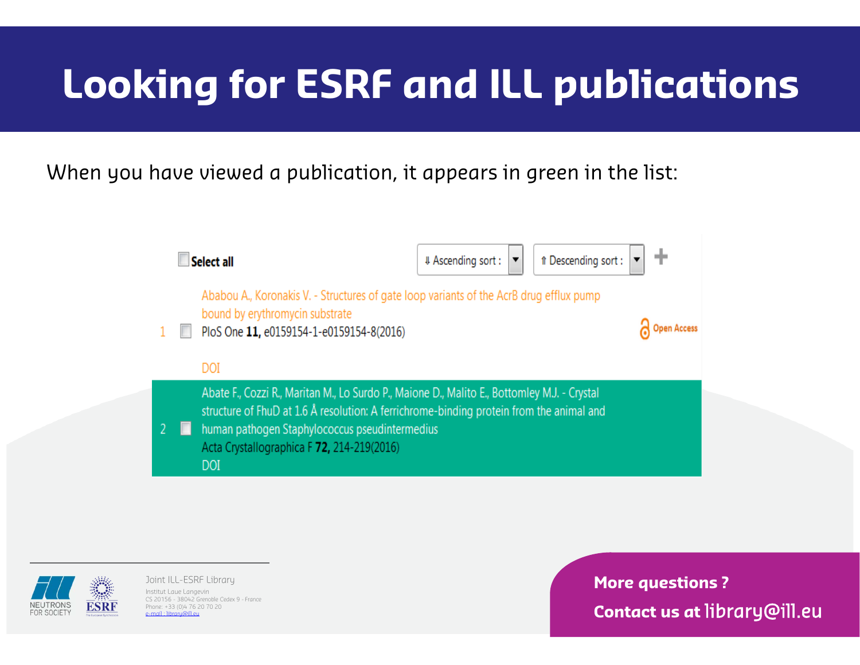### When you have viewed a publication, it appears in green in the list:





Joint ILL-ESRF Library Institut Laue Langevin CS 20156 - 38042 Grenoble Cedex 9 - France Phone: +33 (0)4 76 20 70 20 e-mail : library@ill.eu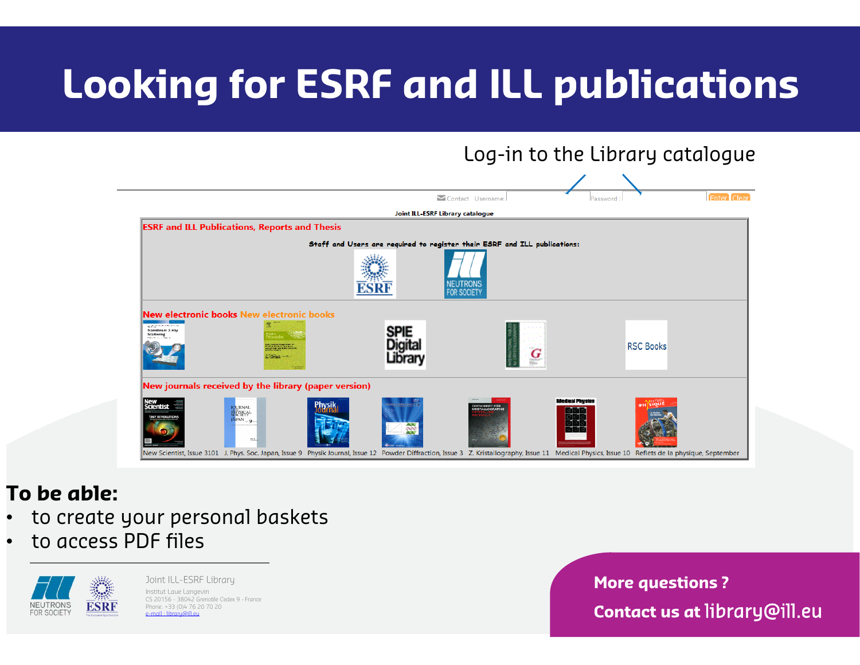

## **To be able:**

- ••  $\,$  to create your personal baskets
- •• to access PDF files



Joint ILL-ESRF Library Institut Laue Langevin CS 20156 - 38042 Grenoble Cedex 9 - France Phone: +33 (0)4 76 20 70 20 e-mail : library@ill.eu